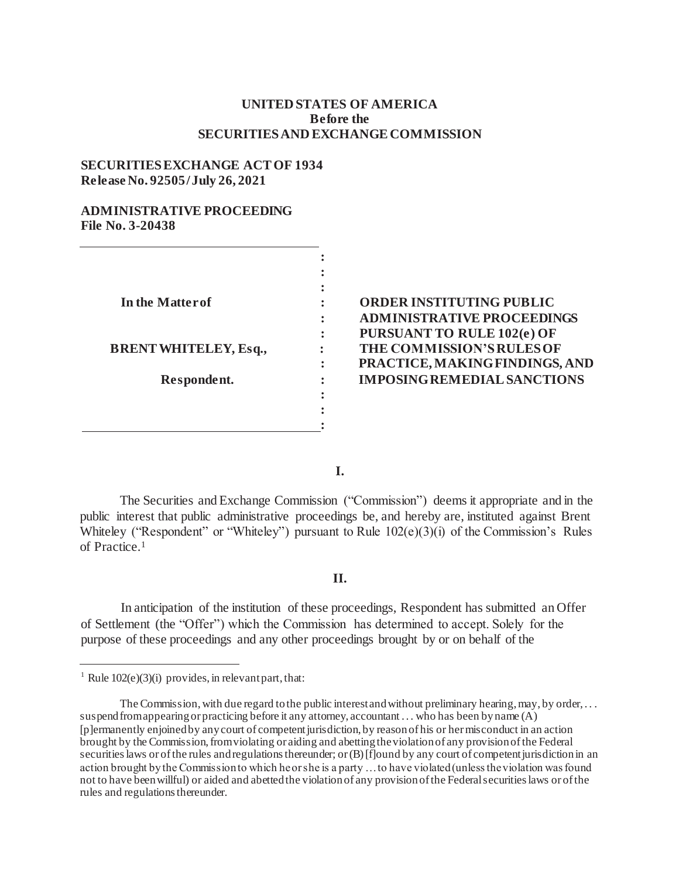## **UNITED STATES OF AMERICA Before the SECURITIESAND EXCHANGE COMMISSION**

### **SECURITIESEXCHANGE ACTOF 1934 Release No. 92505/July 26, 2021**

## **ADMINISTRATIVE PROCEEDING File No. 3-20438**

| In the Matter of             |  |
|------------------------------|--|
|                              |  |
|                              |  |
| <b>BRENT WHITELEY, Esq.,</b> |  |
|                              |  |
| Respondent.                  |  |
|                              |  |
|                              |  |
|                              |  |

# **ORDER INSTITUTING PUBLIC ADMINISTRATIVE PROCEEDINGS PURSUANT TO RULE 102(e) OF THE COMMISSION'SRULESOF PRACTICE, MAKINGFINDINGS, AND IMPOSINGREMEDIALSANCTIONS**

**I.**

The Securities and Exchange Commission ("Commission") deems it appropriate and in the public interest that public administrative proceedings be, and hereby are, instituted against Brent Whiteley ("Respondent" or "Whiteley") pursuant to Rule  $102(e)(3)(i)$  of the Commission's Rules of Practice.<sup>1</sup>

#### **II.**

In anticipation of the institution of these proceedings, Respondent has submitted an Offer of Settlement (the "Offer") which the Commission has determined to accept. Solely for the purpose of these proceedings and any other proceedings brought by or on behalf of the

<sup>&</sup>lt;sup>1</sup> Rule  $102(e)(3)(i)$  provides, in relevant part, that:

The Commission, with due regard to the public interest and without preliminary hearing, may, by order, ... suspend from appearing or practicing before it any attorney, accountant ... who has been by name (A) [p]ermanently enjoined by any court of competent jurisdiction, by reason of his or her misconduct in an action brought by the Commission, from violating or aiding and abetting the violation of any provision of the Federal securities laws or of the rules and regulations thereunder; or (B) [f]ound by any court of competent jurisdiction in an action brought by the Commission to which he or she is a party … to have violated (unless the violation was found not to have been willful) or aided and abetted the violation of any provision of the Federal securities laws or of the rules and regulations thereunder.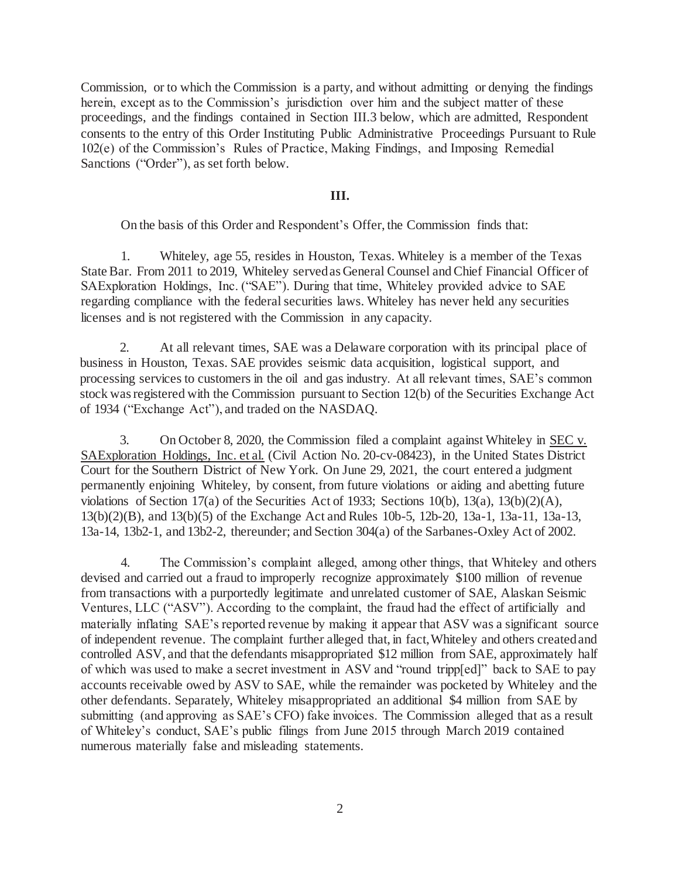Commission, or to which the Commission is a party, and without admitting or denying the findings herein, except as to the Commission's jurisdiction over him and the subject matter of these proceedings, and the findings contained in Section III.3 below, which are admitted, Respondent consents to the entry of this Order Instituting Public Administrative Proceedings Pursuant to Rule 102(e) of the Commission's Rules of Practice, Making Findings, and Imposing Remedial Sanctions ("Order"), as set forth below.

## **III.**

On the basis of this Order and Respondent's Offer, the Commission finds that:

1. Whiteley, age 55, resides in Houston, Texas. Whiteley is a member of the Texas State Bar. From 2011 to 2019, Whiteley served as General Counsel and Chief Financial Officer of SAExploration Holdings, Inc. ("SAE"). During that time, Whiteley provided advice to SAE regarding compliance with the federal securities laws. Whiteley has never held any securities licenses and is not registered with the Commission in any capacity.

2. At all relevant times, SAE was a Delaware corporation with its principal place of business in Houston, Texas. SAE provides seismic data acquisition, logistical support, and processing services to customers in the oil and gas industry. At all relevant times, SAE's common stock wasregistered with the Commission pursuant to Section 12(b) of the Securities Exchange Act of 1934 ("Exchange Act"), and traded on the NASDAQ.

3. On October 8, 2020, the Commission filed a complaint against Whiteley in SEC v. SAExploration Holdings, Inc. et al. (Civil Action No. 20-cv-08423), in the United States District Court for the Southern District of New York. On June 29, 2021, the court entered a judgment permanently enjoining Whiteley, by consent, from future violations or aiding and abetting future violations of Section 17(a) of the Securities Act of 1933; Sections 10(b), 13(a), 13(b)(2)(A), 13(b)(2)(B), and 13(b)(5) of the Exchange Act and Rules 10b-5, 12b-20, 13a-1, 13a-11, 13a-13, 13a-14, 13b2-1, and 13b2-2, thereunder; and Section 304(a) of the Sarbanes-Oxley Act of 2002.

4. The Commission's complaint alleged, among other things, that Whiteley and others devised and carried out a fraud to improperly recognize approximately \$100 million of revenue from transactions with a purportedly legitimate and unrelated customer of SAE, Alaskan Seismic Ventures, LLC ("ASV"). According to the complaint, the fraud had the effect of artificially and materially inflating SAE's reported revenue by making it appear that ASV was a significant source of independent revenue. The complaint further alleged that, in fact,Whiteley and others createdand controlled ASV, and that the defendants misappropriated \$12 million from SAE, approximately half of which was used to make a secret investment in ASV and "round tripp[ed]" back to SAE to pay accounts receivable owed by ASV to SAE, while the remainder was pocketed by Whiteley and the other defendants. Separately, Whiteley misappropriated an additional \$4 million from SAE by submitting (and approving as SAE's CFO) fake invoices. The Commission alleged that as a result of Whiteley's conduct, SAE's public filings from June 2015 through March 2019 contained numerous materially false and misleading statements.